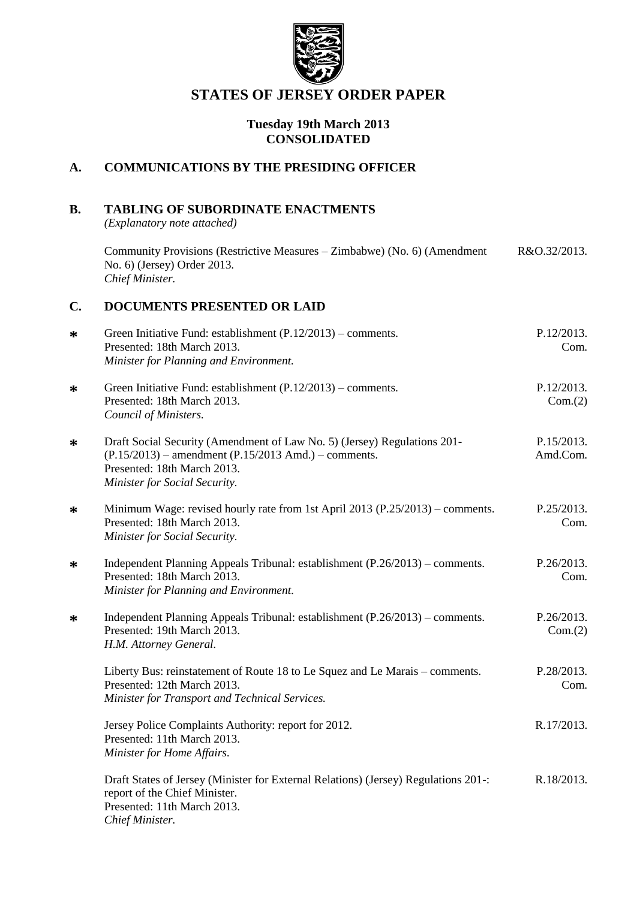

# **STATES OF JERSEY ORDER PAPER**

# **Tuesday 19th March 2013 CONSOLIDATED**

# **A. COMMUNICATIONS BY THE PRESIDING OFFICER**

# **B. TABLING OF SUBORDINATE ENACTMENTS**

*(Explanatory note attached)*

Community Provisions (Restrictive Measures – Zimbabwe) (No. 6) (Amendment No. 6) (Jersey) Order 2013. *Chief Minister.* R&O.32/2013.

# **C. DOCUMENTS PRESENTED OR LAID**

| $\ast$ | Green Initiative Fund: establishment $(P.12/2013)$ – comments.<br>Presented: 18th March 2013.<br>Minister for Planning and Environment.                                                              | P.12/2013.<br>Com.     |
|--------|------------------------------------------------------------------------------------------------------------------------------------------------------------------------------------------------------|------------------------|
| ∗      | Green Initiative Fund: establishment $(P.12/2013)$ – comments.<br>Presented: 18th March 2013.<br>Council of Ministers.                                                                               | P.12/2013.<br>Com.(2)  |
| ∗      | Draft Social Security (Amendment of Law No. 5) (Jersey) Regulations 201-<br>$(P.15/2013)$ – amendment $(P.15/2013$ Amd.) – comments.<br>Presented: 18th March 2013.<br>Minister for Social Security. | P.15/2013.<br>Amd.Com. |
| ∗      | Minimum Wage: revised hourly rate from 1st April 2013 (P.25/2013) – comments.<br>Presented: 18th March 2013.<br>Minister for Social Security.                                                        | P.25/2013.<br>Com.     |
| ∗      | Independent Planning Appeals Tribunal: establishment (P.26/2013) – comments.<br>Presented: 18th March 2013.<br>Minister for Planning and Environment.                                                | P.26/2013.<br>Com.     |
| ∗      | Independent Planning Appeals Tribunal: establishment (P.26/2013) – comments.<br>Presented: 19th March 2013.<br>H.M. Attorney General.                                                                | P.26/2013.<br>Com.(2)  |
|        | Liberty Bus: reinstatement of Route 18 to Le Squez and Le Marais – comments.<br>Presented: 12th March 2013.<br>Minister for Transport and Technical Services.                                        | P.28/2013.<br>Com.     |
|        | Jersey Police Complaints Authority: report for 2012.<br>Presented: 11th March 2013.<br>Minister for Home Affairs.                                                                                    | R.17/2013.             |
|        | Draft States of Jersey (Minister for External Relations) (Jersey) Regulations 201-:<br>report of the Chief Minister.<br>Presented: 11th March 2013.<br>Chief Minister.                               | R.18/2013.             |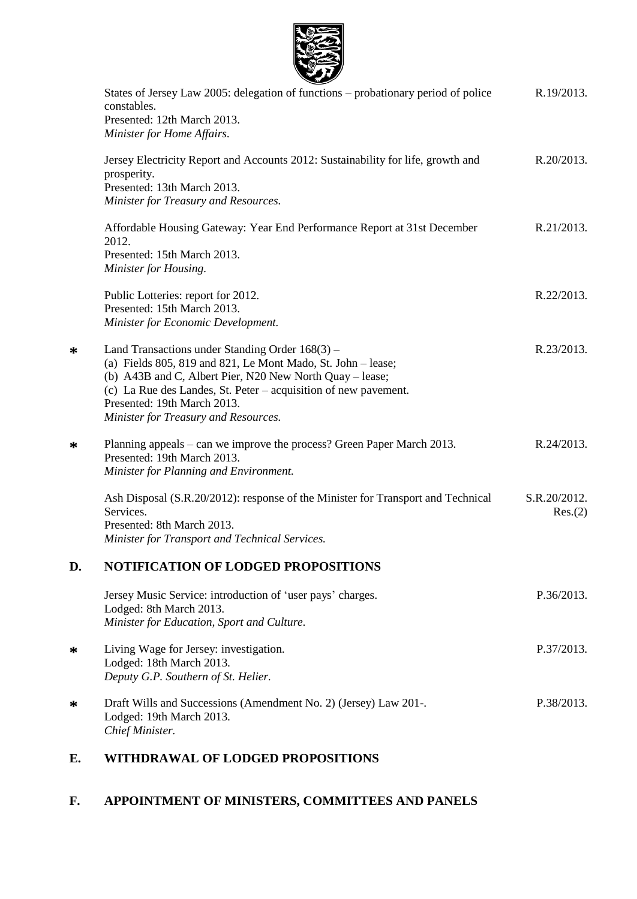

|    | States of Jersey Law 2005: delegation of functions - probationary period of police<br>constables.<br>Presented: 12th March 2013.                                                                                                                                                                                      | R.19/2013.              |
|----|-----------------------------------------------------------------------------------------------------------------------------------------------------------------------------------------------------------------------------------------------------------------------------------------------------------------------|-------------------------|
|    | Minister for Home Affairs.<br>Jersey Electricity Report and Accounts 2012: Sustainability for life, growth and                                                                                                                                                                                                        | R.20/2013.              |
|    | prosperity.<br>Presented: 13th March 2013.<br>Minister for Treasury and Resources.                                                                                                                                                                                                                                    |                         |
|    | Affordable Housing Gateway: Year End Performance Report at 31st December<br>2012.<br>Presented: 15th March 2013.<br>Minister for Housing.                                                                                                                                                                             | R.21/2013.              |
|    | Public Lotteries: report for 2012.<br>Presented: 15th March 2013.<br>Minister for Economic Development.                                                                                                                                                                                                               | R.22/2013.              |
| ∗  | Land Transactions under Standing Order 168(3) –<br>(a) Fields 805, 819 and 821, Le Mont Mado, St. John - lease;<br>(b) A43B and C, Albert Pier, N20 New North Quay – lease;<br>(c) La Rue des Landes, St. Peter – acquisition of new pavement.<br>Presented: 19th March 2013.<br>Minister for Treasury and Resources. | R.23/2013.              |
| ∗  | Planning appeals – can we improve the process? Green Paper March 2013.<br>Presented: 19th March 2013.<br>Minister for Planning and Environment.                                                                                                                                                                       | R.24/2013.              |
|    | Ash Disposal (S.R.20/2012): response of the Minister for Transport and Technical<br>Services.<br>Presented: 8th March 2013.<br>Minister for Transport and Technical Services.                                                                                                                                         | S.R.20/2012.<br>Res.(2) |
| D. | <b>NOTIFICATION OF LODGED PROPOSITIONS</b>                                                                                                                                                                                                                                                                            |                         |
|    | Jersey Music Service: introduction of 'user pays' charges.<br>Lodged: 8th March 2013.<br>Minister for Education, Sport and Culture.                                                                                                                                                                                   | P.36/2013.              |
| ∗  | Living Wage for Jersey: investigation.<br>Lodged: 18th March 2013.<br>Deputy G.P. Southern of St. Helier.                                                                                                                                                                                                             | P.37/2013.              |
| ∗  | Draft Wills and Successions (Amendment No. 2) (Jersey) Law 201-.<br>Lodged: 19th March 2013.<br>Chief Minister.                                                                                                                                                                                                       | P.38/2013.              |
|    |                                                                                                                                                                                                                                                                                                                       |                         |

# **E. WITHDRAWAL OF LODGED PROPOSITIONS**

**\***

**\***

**\***

**\***

# **F. APPOINTMENT OF MINISTERS, COMMITTEES AND PANELS**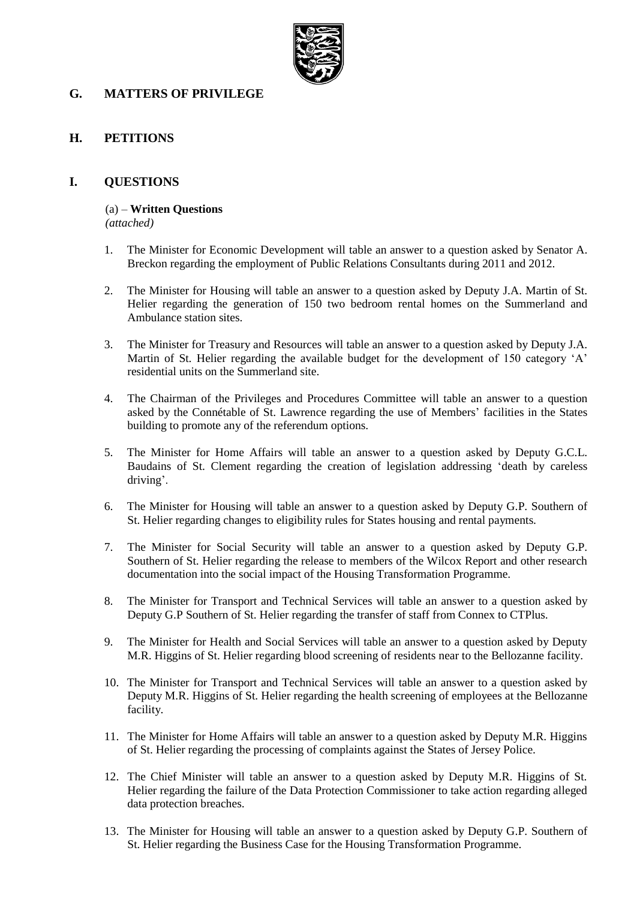

# **G. MATTERS OF PRIVILEGE**

# **H. PETITIONS**

#### **I. QUESTIONS**

#### (a) – **Written Questions**

*(attached)*

- 1. The Minister for Economic Development will table an answer to a question asked by Senator A. Breckon regarding the employment of Public Relations Consultants during 2011 and 2012.
- 2. The Minister for Housing will table an answer to a question asked by Deputy J.A. Martin of St. Helier regarding the generation of 150 two bedroom rental homes on the Summerland and Ambulance station sites.
- 3. The Minister for Treasury and Resources will table an answer to a question asked by Deputy J.A. Martin of St. Helier regarding the available budget for the development of 150 category 'A' residential units on the Summerland site.
- 4. The Chairman of the Privileges and Procedures Committee will table an answer to a question asked by the Connétable of St. Lawrence regarding the use of Members' facilities in the States building to promote any of the referendum options.
- 5. The Minister for Home Affairs will table an answer to a question asked by Deputy G.C.L. Baudains of St. Clement regarding the creation of legislation addressing 'death by careless driving'.
- 6. The Minister for Housing will table an answer to a question asked by Deputy G.P. Southern of St. Helier regarding changes to eligibility rules for States housing and rental payments.
- 7. The Minister for Social Security will table an answer to a question asked by Deputy G.P. Southern of St. Helier regarding the release to members of the Wilcox Report and other research documentation into the social impact of the Housing Transformation Programme.
- 8. The Minister for Transport and Technical Services will table an answer to a question asked by Deputy G.P Southern of St. Helier regarding the transfer of staff from Connex to CTPlus.
- 9. The Minister for Health and Social Services will table an answer to a question asked by Deputy M.R. Higgins of St. Helier regarding blood screening of residents near to the Bellozanne facility.
- 10. The Minister for Transport and Technical Services will table an answer to a question asked by Deputy M.R. Higgins of St. Helier regarding the health screening of employees at the Bellozanne facility.
- 11. The Minister for Home Affairs will table an answer to a question asked by Deputy M.R. Higgins of St. Helier regarding the processing of complaints against the States of Jersey Police.
- 12. The Chief Minister will table an answer to a question asked by Deputy M.R. Higgins of St. Helier regarding the failure of the Data Protection Commissioner to take action regarding alleged data protection breaches.
- 13. The Minister for Housing will table an answer to a question asked by Deputy G.P. Southern of St. Helier regarding the Business Case for the Housing Transformation Programme.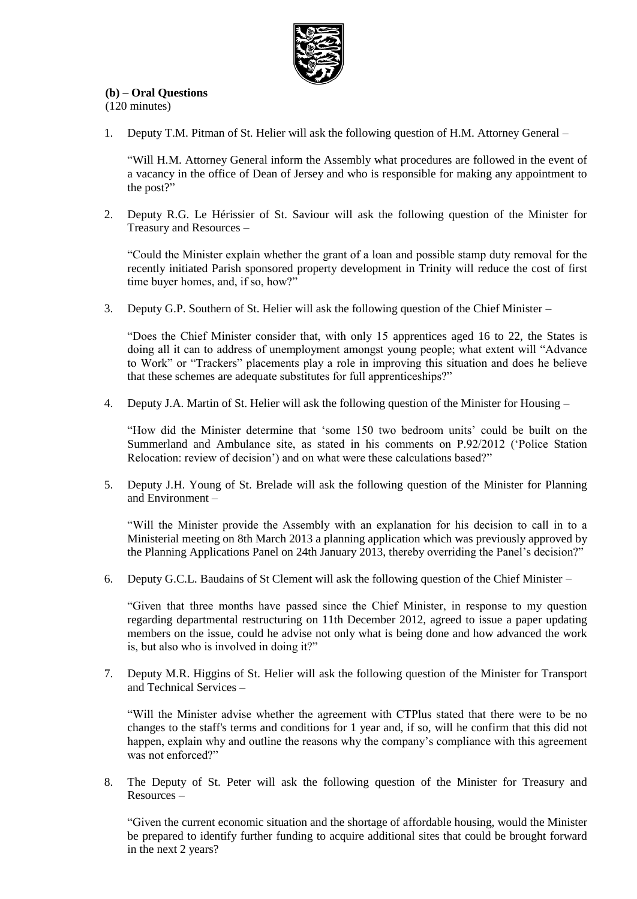

# **(b) – Oral Questions**

(120 minutes)

1. Deputy T.M. Pitman of St. Helier will ask the following question of H.M. Attorney General –

"Will H.M. Attorney General inform the Assembly what procedures are followed in the event of a vacancy in the office of Dean of Jersey and who is responsible for making any appointment to the post?"

2. Deputy R.G. Le Hérissier of St. Saviour will ask the following question of the Minister for Treasury and Resources –

"Could the Minister explain whether the grant of a loan and possible stamp duty removal for the recently initiated Parish sponsored property development in Trinity will reduce the cost of first time buyer homes, and, if so, how?"

3. Deputy G.P. Southern of St. Helier will ask the following question of the Chief Minister –

"Does the Chief Minister consider that, with only 15 apprentices aged 16 to 22, the States is doing all it can to address of unemployment amongst young people; what extent will "Advance to Work" or "Trackers" placements play a role in improving this situation and does he believe that these schemes are adequate substitutes for full apprenticeships?"

4. Deputy J.A. Martin of St. Helier will ask the following question of the Minister for Housing –

"How did the Minister determine that 'some 150 two bedroom units' could be built on the Summerland and Ambulance site, as stated in his comments on P.92/2012 ('Police Station Relocation: review of decision') and on what were these calculations based?"

5. Deputy J.H. Young of St. Brelade will ask the following question of the Minister for Planning and Environment –

"Will the Minister provide the Assembly with an explanation for his decision to call in to a Ministerial meeting on 8th March 2013 a planning application which was previously approved by the Planning Applications Panel on 24th January 2013, thereby overriding the Panel's decision?"

6. Deputy G.C.L. Baudains of St Clement will ask the following question of the Chief Minister –

"Given that three months have passed since the Chief Minister, in response to my question regarding departmental restructuring on 11th December 2012, agreed to issue a paper updating members on the issue, could he advise not only what is being done and how advanced the work is, but also who is involved in doing it?"

7. Deputy M.R. Higgins of St. Helier will ask the following question of the Minister for Transport and Technical Services –

"Will the Minister advise whether the agreement with CTPlus stated that there were to be no changes to the staff's terms and conditions for 1 year and, if so, will he confirm that this did not happen, explain why and outline the reasons why the company's compliance with this agreement was not enforced?"

8. The Deputy of St. Peter will ask the following question of the Minister for Treasury and Resources –

"Given the current economic situation and the shortage of affordable housing, would the Minister be prepared to identify further funding to acquire additional sites that could be brought forward in the next 2 years?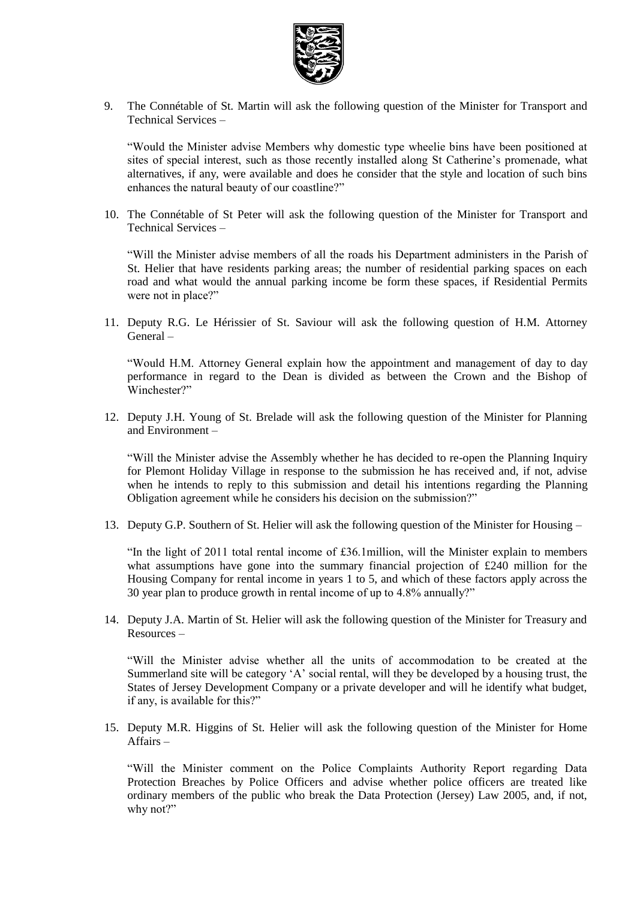

9. The Connétable of St. Martin will ask the following question of the Minister for Transport and Technical Services –

"Would the Minister advise Members why domestic type wheelie bins have been positioned at sites of special interest, such as those recently installed along St Catherine's promenade, what alternatives, if any, were available and does he consider that the style and location of such bins enhances the natural beauty of our coastline?"

10. The Connétable of St Peter will ask the following question of the Minister for Transport and Technical Services –

"Will the Minister advise members of all the roads his Department administers in the Parish of St. Helier that have residents parking areas; the number of residential parking spaces on each road and what would the annual parking income be form these spaces, if Residential Permits were not in place?"

11. Deputy R.G. Le Hérissier of St. Saviour will ask the following question of H.M. Attorney General –

"Would H.M. Attorney General explain how the appointment and management of day to day performance in regard to the Dean is divided as between the Crown and the Bishop of Winchester?"

12. Deputy J.H. Young of St. Brelade will ask the following question of the Minister for Planning and Environment –

"Will the Minister advise the Assembly whether he has decided to re-open the Planning Inquiry for Plemont Holiday Village in response to the submission he has received and, if not, advise when he intends to reply to this submission and detail his intentions regarding the Planning Obligation agreement while he considers his decision on the submission?"

13. Deputy G.P. Southern of St. Helier will ask the following question of the Minister for Housing –

"In the light of 2011 total rental income of £36.1million, will the Minister explain to members what assumptions have gone into the summary financial projection of £240 million for the Housing Company for rental income in years 1 to 5, and which of these factors apply across the 30 year plan to produce growth in rental income of up to 4.8% annually?"

14. Deputy J.A. Martin of St. Helier will ask the following question of the Minister for Treasury and Resources –

"Will the Minister advise whether all the units of accommodation to be created at the Summerland site will be category 'A' social rental, will they be developed by a housing trust, the States of Jersey Development Company or a private developer and will he identify what budget, if any, is available for this?"

15. Deputy M.R. Higgins of St. Helier will ask the following question of the Minister for Home Affairs –

"Will the Minister comment on the Police Complaints Authority Report regarding Data Protection Breaches by Police Officers and advise whether police officers are treated like ordinary members of the public who break the Data Protection (Jersey) Law 2005, and, if not, why not?"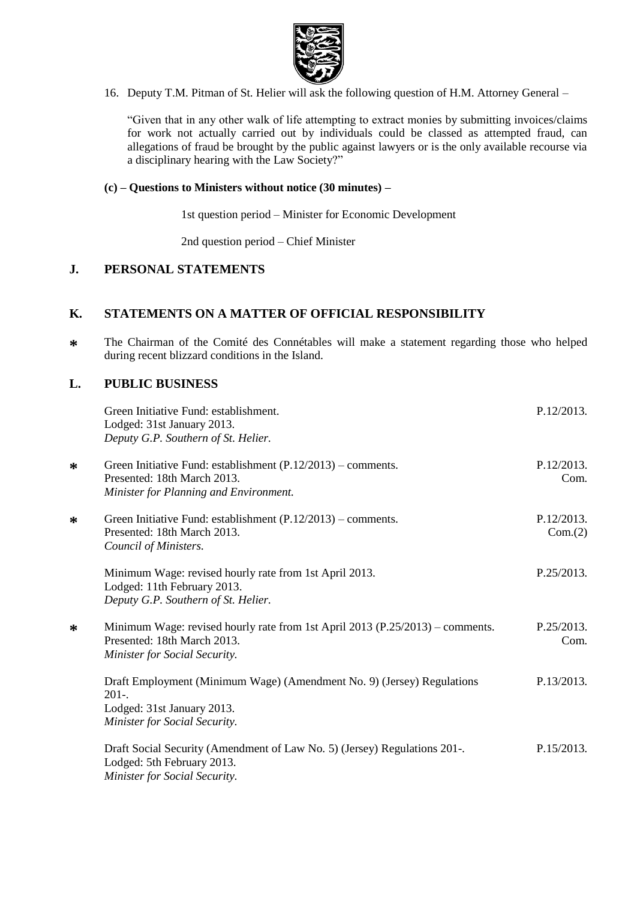

16. Deputy T.M. Pitman of St. Helier will ask the following question of H.M. Attorney General –

"Given that in any other walk of life attempting to extract monies by submitting invoices/claims for work not actually carried out by individuals could be classed as attempted fraud, can allegations of fraud be brought by the public against lawyers or is the only available recourse via a disciplinary hearing with the Law Society?"

#### **(c) – Questions to Ministers without notice (30 minutes) –**

1st question period – Minister for Economic Development

2nd question period – Chief Minister

# **J. PERSONAL STATEMENTS**

#### **K. STATEMENTS ON A MATTER OF OFFICIAL RESPONSIBILITY**

**\*** The Chairman of the Comité des Connétables will make a statement regarding those who helped during recent blizzard conditions in the Island.

#### **L. PUBLIC BUSINESS**

|   | Green Initiative Fund: establishment.<br>Lodged: 31st January 2013.<br>Deputy G.P. Southern of St. Helier.                                           | P.12/2013.            |
|---|------------------------------------------------------------------------------------------------------------------------------------------------------|-----------------------|
| ∗ | Green Initiative Fund: establishment $(P.12/2013)$ – comments.<br>Presented: 18th March 2013.<br>Minister for Planning and Environment.              | P.12/2013.<br>Com.    |
| ∗ | Green Initiative Fund: establishment $(P.12/2013)$ – comments.<br>Presented: 18th March 2013.<br>Council of Ministers.                               | P.12/2013.<br>Com.(2) |
|   | Minimum Wage: revised hourly rate from 1st April 2013.<br>Lodged: 11th February 2013.<br>Deputy G.P. Southern of St. Helier.                         | P.25/2013.            |
| ∗ | Minimum Wage: revised hourly rate from 1st April 2013 (P.25/2013) – comments.<br>Presented: 18th March 2013.<br><b>Minister for Social Security.</b> | P.25/2013.<br>Com.    |
|   | Draft Employment (Minimum Wage) (Amendment No. 9) (Jersey) Regulations<br>$201-.$<br>Lodged: 31st January 2013.<br>Minister for Social Security.     | P.13/2013.            |
|   | Draft Social Security (Amendment of Law No. 5) (Jersey) Regulations 201-.<br>Lodged: 5th February 2013.<br>Minister for Social Security.             | P.15/2013.            |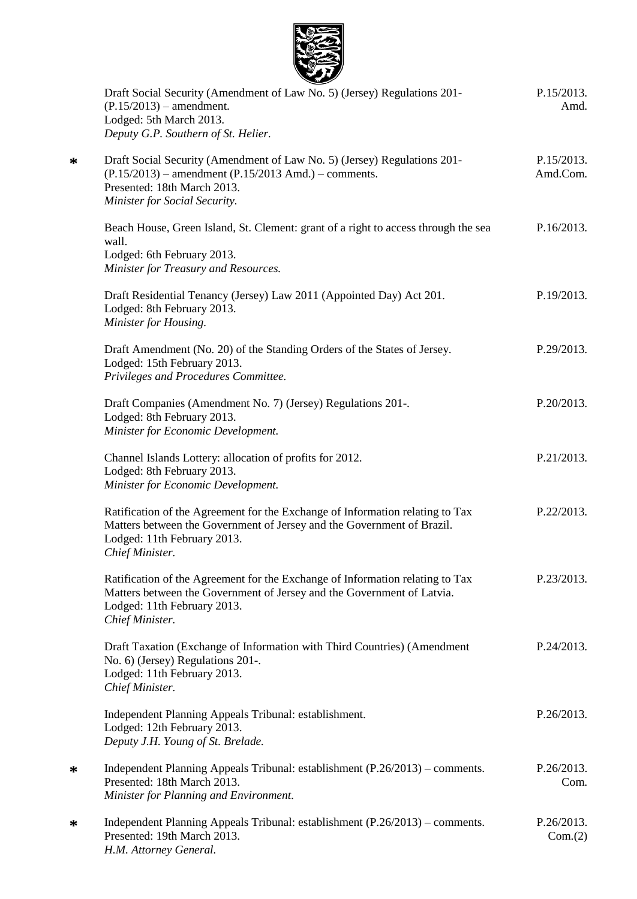

**\***

**\***

**\***

| Draft Social Security (Amendment of Law No. 5) (Jersey) Regulations 201-<br>$(P.15/2013)$ – amendment.<br>Lodged: 5th March 2013.<br>Deputy G.P. Southern of St. Helier.                                  | P.15/2013.<br>Amd.     |
|-----------------------------------------------------------------------------------------------------------------------------------------------------------------------------------------------------------|------------------------|
| Draft Social Security (Amendment of Law No. 5) (Jersey) Regulations 201-<br>$(P.15/2013)$ – amendment $(P.15/2013$ Amd.) – comments.<br>Presented: 18th March 2013.<br>Minister for Social Security.      | P.15/2013.<br>Amd.Com. |
| Beach House, Green Island, St. Clement: grant of a right to access through the sea<br>wall.<br>Lodged: 6th February 2013.<br>Minister for Treasury and Resources.                                         | P.16/2013.             |
| Draft Residential Tenancy (Jersey) Law 2011 (Appointed Day) Act 201.<br>Lodged: 8th February 2013.<br>Minister for Housing.                                                                               | P.19/2013.             |
| Draft Amendment (No. 20) of the Standing Orders of the States of Jersey.<br>Lodged: 15th February 2013.<br>Privileges and Procedures Committee.                                                           | P.29/2013.             |
| Draft Companies (Amendment No. 7) (Jersey) Regulations 201-.<br>Lodged: 8th February 2013.<br>Minister for Economic Development.                                                                          | P.20/2013.             |
| Channel Islands Lottery: allocation of profits for 2012.<br>Lodged: 8th February 2013.<br>Minister for Economic Development.                                                                              | P.21/2013.             |
| Ratification of the Agreement for the Exchange of Information relating to Tax<br>Matters between the Government of Jersey and the Government of Brazil.<br>Lodged: 11th February 2013.<br>Chief Minister. | P.22/2013.             |
| Ratification of the Agreement for the Exchange of Information relating to Tax<br>Matters between the Government of Jersey and the Government of Latvia.<br>Lodged: 11th February 2013.<br>Chief Minister. | P.23/2013.             |
| Draft Taxation (Exchange of Information with Third Countries) (Amendment<br>No. 6) (Jersey) Regulations 201-.<br>Lodged: 11th February 2013.<br>Chief Minister.                                           | P.24/2013.             |
| Independent Planning Appeals Tribunal: establishment.<br>Lodged: 12th February 2013.<br>Deputy J.H. Young of St. Brelade.                                                                                 | P.26/2013.             |
| Independent Planning Appeals Tribunal: establishment (P.26/2013) – comments.<br>Presented: 18th March 2013.<br>Minister for Planning and Environment.                                                     | P.26/2013.<br>Com.     |
| Independent Planning Appeals Tribunal: establishment (P.26/2013) – comments.<br>Presented: 19th March 2013.<br>H.M. Attorney General.                                                                     | P.26/2013.<br>Com.(2)  |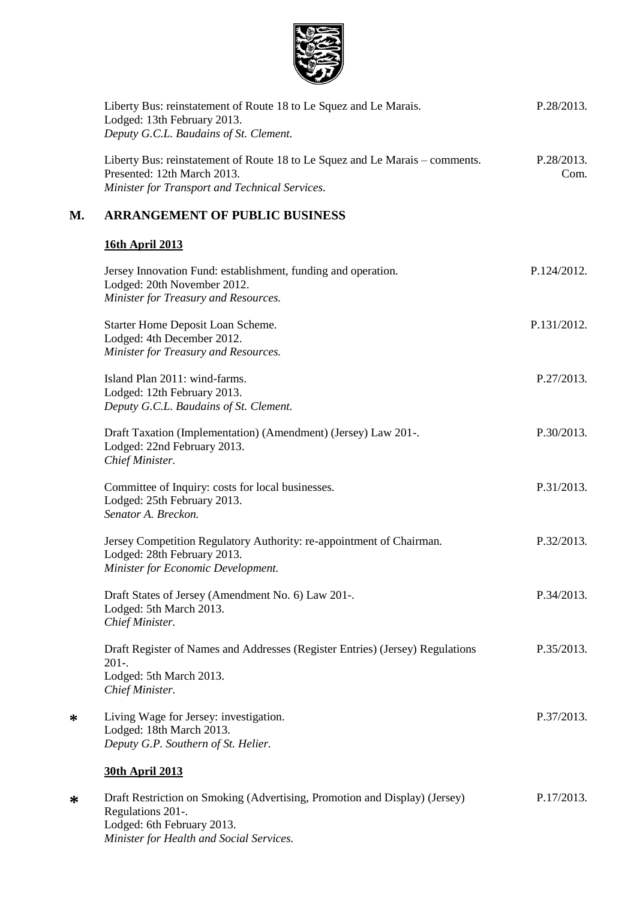

|    | Liberty Bus: reinstatement of Route 18 to Le Squez and Le Marais.<br>Lodged: 13th February 2013.<br>Deputy G.C.L. Baudains of St. Clement.                    | P.28/2013.         |
|----|---------------------------------------------------------------------------------------------------------------------------------------------------------------|--------------------|
|    | Liberty Bus: reinstatement of Route 18 to Le Squez and Le Marais – comments.<br>Presented: 12th March 2013.<br>Minister for Transport and Technical Services. | P.28/2013.<br>Com. |
| М. | <b>ARRANGEMENT OF PUBLIC BUSINESS</b>                                                                                                                         |                    |
|    | <b>16th April 2013</b>                                                                                                                                        |                    |
|    | Jersey Innovation Fund: establishment, funding and operation.<br>Lodged: 20th November 2012.<br>Minister for Treasury and Resources.                          | P.124/2012.        |
|    | Starter Home Deposit Loan Scheme.<br>Lodged: 4th December 2012.<br>Minister for Treasury and Resources.                                                       | P.131/2012.        |
|    | Island Plan 2011: wind-farms.<br>Lodged: 12th February 2013.<br>Deputy G.C.L. Baudains of St. Clement.                                                        | P.27/2013.         |
|    | Draft Taxation (Implementation) (Amendment) (Jersey) Law 201-.<br>Lodged: 22nd February 2013.<br>Chief Minister.                                              | P.30/2013.         |
|    | Committee of Inquiry: costs for local businesses.<br>Lodged: 25th February 2013.<br>Senator A. Breckon.                                                       | P.31/2013.         |
|    | Jersey Competition Regulatory Authority: re-appointment of Chairman.<br>Lodged: 28th February 2013.<br>Minister for Economic Development.                     | P.32/2013.         |
|    | Draft States of Jersey (Amendment No. 6) Law 201-.<br>Lodged: 5th March 2013.<br>Chief Minister.                                                              | P.34/2013.         |
|    | Draft Register of Names and Addresses (Register Entries) (Jersey) Regulations<br>$201 -$<br>Lodged: 5th March 2013.<br>Chief Minister.                        | P.35/2013.         |
| ∗  | Living Wage for Jersey: investigation.<br>Lodged: 18th March 2013.<br>Deputy G.P. Southern of St. Helier.                                                     | P.37/2013.         |
|    | <b>30th April 2013</b>                                                                                                                                        |                    |
| ∗  | Draft Restriction on Smoking (Advertising, Promotion and Display) (Jersey)<br>Regulations 201-.                                                               | P.17/2013.         |

Lodged: 6th February 2013. *Minister for Health and Social Services.*

**\***

**\***